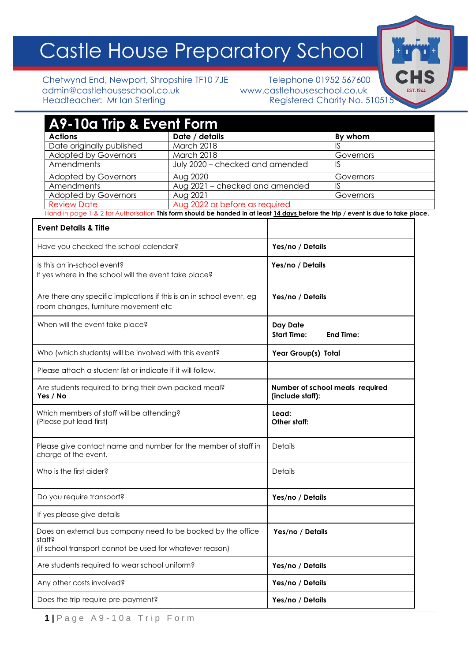# Castle House Preparatory School

Chetwynd End, Newport, Shropshire TF10 7JE<br>
relephone 01952 567600<br>
www.castlehouseschool.co.uk<br>
www.castlehouseschool.co.uk admin@castlehouseschool.co.uk<br>Headteacher: Mr lan Sterling

Registered Charity No. 510515

CHS EST. 1944

| A9-10a Trip & Event Form                                                                                                                                              |                                 |                                |                                 |
|-----------------------------------------------------------------------------------------------------------------------------------------------------------------------|---------------------------------|--------------------------------|---------------------------------|
| <b>Actions</b>                                                                                                                                                        | Date / details                  |                                | By whom                         |
| Date originally published                                                                                                                                             | March 2018                      |                                | IS                              |
| <b>Adopted by Governors</b>                                                                                                                                           | March 2018                      |                                | Governors                       |
| Amendments                                                                                                                                                            | July 2020 - checked and amended |                                | <b>IS</b>                       |
| <b>Adopted by Governors</b>                                                                                                                                           | Aug 2020                        |                                | Governors                       |
| Amendments                                                                                                                                                            | Aug 2021 - checked and amended  |                                | IS                              |
| <b>Adopted by Governors</b>                                                                                                                                           | Aug 2021                        |                                | Governors                       |
| <b>Review Date</b>                                                                                                                                                    | Aug 2022 or before as required  |                                |                                 |
| Hand in page 1 & 2 for Authorisation This form should be handed in at least 14 days before the trip / event is due to take place.<br><b>Event Details &amp; Title</b> |                                 |                                |                                 |
| Have you checked the school calendar?                                                                                                                                 |                                 | Yes/no / Details               |                                 |
| Is this an in-school event?<br>If yes where in the school will the event take place?                                                                                  |                                 | Yes/no / Details               |                                 |
| Are there any specific implcations if this is an in school event, eg<br>room changes, furniture movement etc                                                          |                                 | Yes/no / Details               |                                 |
| When will the event take place?                                                                                                                                       |                                 | Day Date<br><b>Start Time:</b> | <b>End Time:</b>                |
| Who (which students) will be involved with this event?                                                                                                                |                                 | Year Group(s) Total            |                                 |
| Please attach a student list or indicate if it will follow.                                                                                                           |                                 |                                |                                 |
| Are students required to bring their own packed meal?<br>Yes / No                                                                                                     |                                 | (include staff):               | Number of school meals required |
| Which members of staff will be attending?<br>(Please put lead first)                                                                                                  |                                 | Lead:<br>Other staff:          |                                 |
| Please give contact name and number for the member of staff in<br>charge of the event.                                                                                |                                 | Details                        |                                 |
| Who is the first aider?                                                                                                                                               |                                 | Details                        |                                 |
| Do you require transport?                                                                                                                                             |                                 | Yes/no / Details               |                                 |
| If yes please give details                                                                                                                                            |                                 |                                |                                 |
| Does an external bus company need to be booked by the office<br>staff?                                                                                                |                                 | Yes/no / Details               |                                 |
| (if school transport cannot be used for whatever reason)                                                                                                              |                                 |                                |                                 |
| Are students required to wear school uniform?                                                                                                                         |                                 | Yes/no / Details               |                                 |
| Any other costs involved?                                                                                                                                             |                                 | Yes/no / Details               |                                 |
| Does the trip require pre-payment?                                                                                                                                    |                                 | Yes/no / Details               |                                 |

**1 |** P a g e A 9 - 1 0 a T r i p F o r m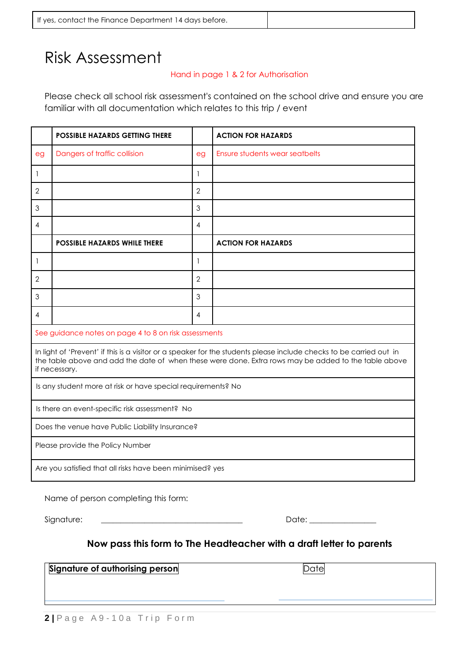| If yes, contact the Finance Department 14 days before. |
|--------------------------------------------------------|
|--------------------------------------------------------|

# Risk Assessment

#### Hand in page 1 & 2 for Authorisation

Please check all school risk assessment's contained on the school drive and ensure you are familiar with all documentation which relates to this trip / event

|                                                                                                                                                                                                                                              | <b>POSSIBLE HAZARDS GETTING THERE</b> |                          | <b>ACTION FOR HAZARDS</b>      |
|----------------------------------------------------------------------------------------------------------------------------------------------------------------------------------------------------------------------------------------------|---------------------------------------|--------------------------|--------------------------------|
| eg                                                                                                                                                                                                                                           | Dangers of traffic collision          | eg                       | Ensure students wear seatbelts |
| 1                                                                                                                                                                                                                                            |                                       | 1                        |                                |
| $\mathbf{2}$                                                                                                                                                                                                                                 |                                       | $\overline{2}$           |                                |
| $\mathfrak{S}$                                                                                                                                                                                                                               |                                       | 3                        |                                |
| 4                                                                                                                                                                                                                                            |                                       | 4                        |                                |
|                                                                                                                                                                                                                                              | <b>POSSIBLE HAZARDS WHILE THERE</b>   |                          | <b>ACTION FOR HAZARDS</b>      |
| $\mathbf{1}$                                                                                                                                                                                                                                 |                                       | $\mathbf{1}$             |                                |
| $\mathbf{2}$                                                                                                                                                                                                                                 |                                       | $\overline{2}$           |                                |
| $\mathfrak 3$                                                                                                                                                                                                                                |                                       | 3                        |                                |
| 4                                                                                                                                                                                                                                            |                                       | $\overline{\mathcal{A}}$ |                                |
| See guidance notes on page 4 to 8 on risk assessments                                                                                                                                                                                        |                                       |                          |                                |
| In light of 'Prevent' if this is a visitor or a speaker for the students please include checks to be carried out in<br>the table above and add the date of when these were done. Extra rows may be added to the table above<br>if necessary. |                                       |                          |                                |
| Is any student more at risk or have special requirements? No                                                                                                                                                                                 |                                       |                          |                                |
| Is there an event-specific risk assessment? No                                                                                                                                                                                               |                                       |                          |                                |
| Does the venue have Public Liability Insurance?                                                                                                                                                                                              |                                       |                          |                                |
| Please provide the Policy Number                                                                                                                                                                                                             |                                       |                          |                                |
| Are you satisfied that all risks have been minimised? yes                                                                                                                                                                                    |                                       |                          |                                |
| Name of person completing this form:                                                                                                                                                                                                         |                                       |                          |                                |

Signature: \_\_\_\_\_\_\_\_\_\_\_\_\_\_\_\_\_\_\_\_\_\_\_\_\_\_\_\_\_\_\_\_\_\_\_\_ Date: \_\_\_\_\_\_\_\_\_\_\_\_\_\_\_\_\_

### **Now pass this form to The Headteacher with a draft letter to parents**

**Signature of authorising person** Date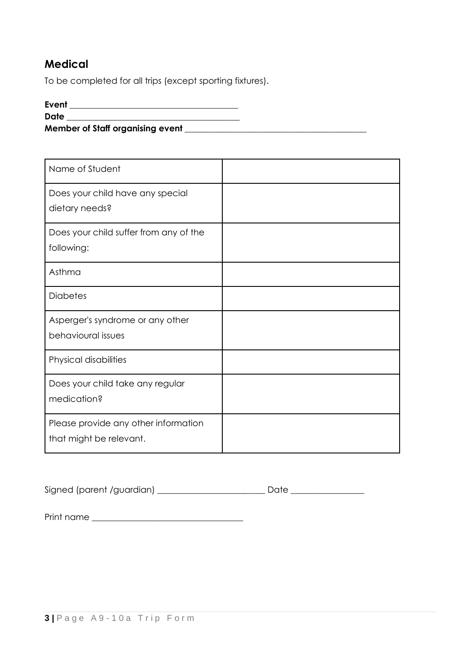## **Medical**

To be completed for all trips (except sporting fixtures).

#### **Event \_\_\_\_\_\_\_\_\_\_\_\_\_\_\_\_\_\_\_\_\_\_\_\_\_\_\_\_\_\_\_\_\_\_\_\_\_\_\_**

**Date**  $\blacksquare$ 

**Member of Staff organising event \_\_\_\_\_\_\_\_\_\_\_\_\_\_\_\_\_\_\_\_\_\_\_\_\_\_\_\_\_\_\_\_\_\_\_\_\_\_\_\_\_\_**

| Name of Student                                                 |  |
|-----------------------------------------------------------------|--|
| Does your child have any special<br>dietary needs?              |  |
| Does your child suffer from any of the<br>following:            |  |
| Asthma                                                          |  |
| <b>Diabetes</b>                                                 |  |
| Asperger's syndrome or any other<br>behavioural issues          |  |
| Physical disabilities                                           |  |
| Does your child take any regular<br>medication?                 |  |
| Please provide any other information<br>that might be relevant. |  |

Signed (parent /guardian) \_\_\_\_\_\_\_\_\_\_\_\_\_\_\_\_\_\_\_\_\_\_\_\_\_ Date \_\_\_\_\_\_\_\_\_\_\_\_\_\_\_\_\_

Print name \_\_\_\_\_\_\_\_\_\_\_\_\_\_\_\_\_\_\_\_\_\_\_\_\_\_\_\_\_\_\_\_\_\_\_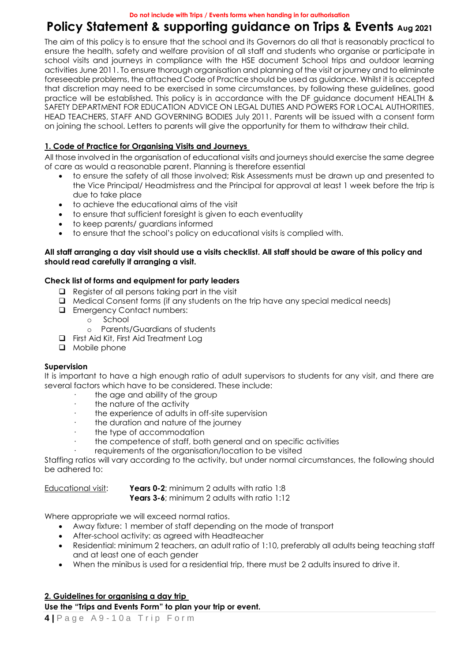# **Policy Statement & supporting guidance on Trips & Events Aug <sup>2021</sup>**

The aim of this policy is to ensure that the school and its Governors do all that is reasonably practical to ensure the health, safety and welfare provision of all staff and students who organise or participate in school visits and journeys in compliance with the HSE document School trips and outdoor learning activities June 2011. To ensure thorough organisation and planning of the visit or journey and to eliminate foreseeable problems, the attached Code of Practice should be used as guidance. Whilst it is accepted that discretion may need to be exercised in some circumstances, by following these guidelines, good practice will be established. This policy is in accordance with the DF guidance document HEALTH & SAFETY DEPARTMENT FOR EDUCATION ADVICE ON LEGAL DUTIES AND POWERS FOR LOCAL AUTHORITIES, HEAD TEACHERS, STAFF AND GOVERNING BODIES July 2011. Parents will be issued with a consent form on joining the school. Letters to parents will give the opportunity for them to withdraw their child.

#### **1. Code of Practice for Organising Visits and Journeys**

All those involved in the organisation of educational visits and journeys should exercise the same degree of care as would a reasonable parent. Planning is therefore essential

- to ensure the safety of all those involved; Risk Assessments must be drawn up and presented to the Vice Principal/ Headmistress and the Principal for approval at least 1 week before the trip is due to take place
- to achieve the educational aims of the visit
- to ensure that sufficient foresight is given to each eventuality
- to keep parents/ guardians informed
- to ensure that the school's policy on educational visits is complied with.

#### **All staff arranging a day visit should use a visits checklist. All staff should be aware of this policy and should read carefully if arranging a visit.**

#### **Check list of forms and equipment for party leaders**

- ❑ Register of all persons taking part in the visit
- ❑ Medical Consent forms (if any students on the trip have any special medical needs)
- ❑ Emergency Contact numbers:
	- o School
	- o Parents/Guardians of students
- ❑ First Aid Kit, First Aid Treatment Log
- ❑ Mobile phone

#### **Supervision**

It is important to have a high enough ratio of adult supervisors to students for any visit, and there are several factors which have to be considered. These include:

- the age and ability of the group
- the nature of the activity
- the experience of adults in off-site supervision
- · the duration and nature of the journey
- the type of accommodation
- the competence of staff, both general and on specific activities
- requirements of the organisation/location to be visited

Staffing ratios will vary according to the activity, but under normal circumstances, the following should be adhered to:

Educational visit: **Years 0-2**; minimum 2 adults with ratio 1:8

**Years 3-6**; minimum 2 adults with ratio 1:12

Where appropriate we will exceed normal ratios.

- Away fixture: 1 member of staff depending on the mode of transport
- After-school activity: as agreed with Headteacher
- Residential: minimum 2 teachers, an adult ratio of 1:10, preferably all adults being teaching staff and at least one of each gender
- When the minibus is used for a residential trip, there must be 2 adults insured to drive it.

#### **2. Guidelines for organising a day trip**

**Use the "Trips and Events Form" to plan your trip or event.**

**4 |** P a g e A 9 - 1 0 a T r i p F o r m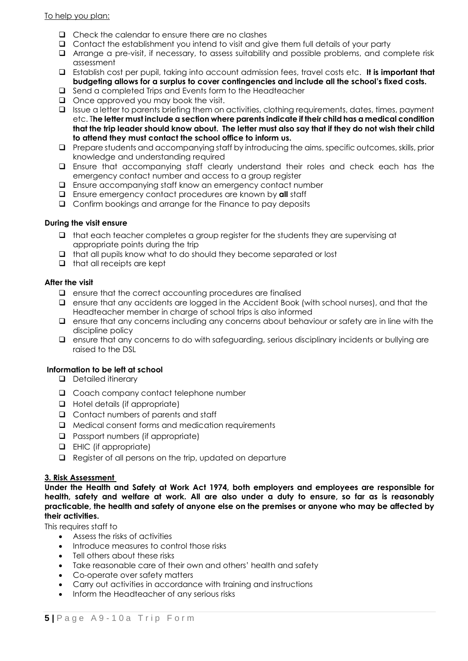To help you plan:

- ❑ Check the calendar to ensure there are no clashes
- ❑ Contact the establishment you intend to visit and give them full details of your party
- ❑ Arrange a pre-visit, if necessary, to assess suitability and possible problems, and complete risk assessment
- ❑ Establish cost per pupil, taking into account admission fees, travel costs etc. **It is important that budgeting allows for a surplus to cover contingencies and include all the school's fixed costs.**
- ❑ Send a completed Trips and Events form to the Headteacher
- ❑ Once approved you may book the visit.
- ❑ Issue a letter to parents briefing them on activities, clothing requirements, dates, times, payment etc. T**he letter must include a section where parents indicate if their child has a medical condition that the trip leader should know about. The letter must also say that if they do not wish their child to attend they must contact the school office to inform us.**
- ❑ Prepare students and accompanying staff by introducing the aims, specific outcomes, skills, prior knowledge and understanding required
- ❑ Ensure that accompanying staff clearly understand their roles and check each has the emergency contact number and access to a group register
- ❑ Ensure accompanying staff know an emergency contact number
- ❑ Ensure emergency contact procedures are known by **all** staff
- ❑ Confirm bookings and arrange for the Finance to pay deposits

#### **During the visit ensure**

- ❑ that each teacher completes a group register for the students they are supervising at appropriate points during the trip
- ❑ that all pupils know what to do should they become separated or lost
- ❑ that all receipts are kept

#### **After the visit**

- ❑ ensure that the correct accounting procedures are finalised
- ❑ ensure that any accidents are logged in the Accident Book (with school nurses), and that the Headteacher member in charge of school trips is also informed
- ❑ ensure that any concerns including any concerns about behaviour or safety are in line with the discipline policy
- ❑ ensure that any concerns to do with safeguarding, serious disciplinary incidents or bullying are raised to the DSL

#### **Information to be left at school**

- ❑ Detailed itinerary
- ❑ Coach company contact telephone number
- ❑ Hotel details (if appropriate)
- ❑ Contact numbers of parents and staff
- ❑ Medical consent forms and medication requirements
- ❑ Passport numbers (if appropriate)
- ❑ EHIC (if appropriate)
- ❑ Register of all persons on the trip, updated on departure

#### **3. Risk Assessment**

**Under the Health and Safety at Work Act 1974, both employers and employees are responsible for health, safety and welfare at work. All are also under a duty to ensure, so far as is reasonably practicable, the health and safety of anyone else on the premises or anyone who may be affected by their activities.**

This requires staff to

- Assess the risks of activities
- Introduce measures to control those risks
- Tell others about these risks
- Take reasonable care of their own and others' health and safety
- Co-operate over safety matters
- Carry out activities in accordance with training and instructions
- Inform the Headteacher of any serious risks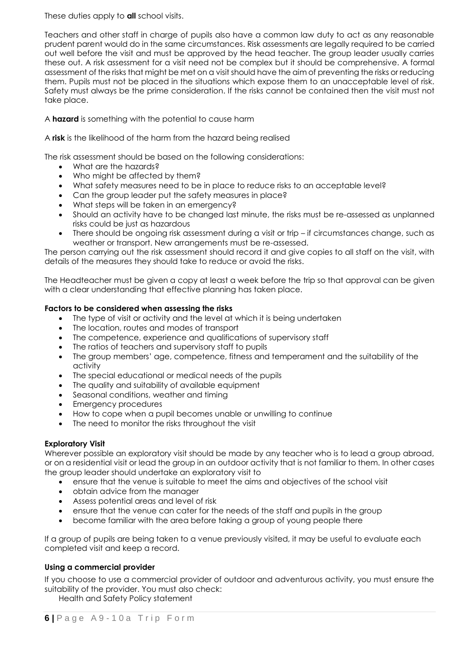These duties apply to **all** school visits.

Teachers and other staff in charge of pupils also have a common law duty to act as any reasonable prudent parent would do in the same circumstances. Risk assessments are legally required to be carried out well before the visit and must be approved by the head teacher. The group leader usually carries these out. A risk assessment for a visit need not be complex but it should be comprehensive. A formal assessment of the risks that might be met on a visit should have the aim of preventing the risks or reducing them. Pupils must not be placed in the situations which expose them to an unacceptable level of risk. Safety must always be the prime consideration. If the risks cannot be contained then the visit must not take place.

A **hazard** is something with the potential to cause harm

A **risk** is the likelihood of the harm from the hazard being realised

The risk assessment should be based on the following considerations:

- What are the hazards?
- Who might be affected by them?
- What safety measures need to be in place to reduce risks to an acceptable level?
- Can the group leader put the safety measures in place?
- What steps will be taken in an emergency?
- Should an activity have to be changed last minute, the risks must be re-assessed as unplanned risks could be just as hazardous
- There should be ongoing risk assessment during a visit or trip if circumstances change, such as weather or transport. New arrangements must be re-assessed.

The person carrying out the risk assessment should record it and give copies to all staff on the visit, with details of the measures they should take to reduce or avoid the risks.

The Headteacher must be given a copy at least a week before the trip so that approval can be given with a clear understanding that effective planning has taken place.

#### **Factors to be considered when assessing the risks**

- The type of visit or activity and the level at which it is being undertaken
- The location, routes and modes of transport
- The competence, experience and qualifications of supervisory staff
- The ratios of teachers and supervisory staff to pupils
- The group members' age, competence, fitness and temperament and the suitability of the activity
- The special educational or medical needs of the pupils
- The quality and suitability of available equipment
- Seasonal conditions, weather and timing
- Emergency procedures
- How to cope when a pupil becomes unable or unwilling to continue
- The need to monitor the risks throughout the visit

#### **Exploratory Visit**

Wherever possible an exploratory visit should be made by any teacher who is to lead a group abroad, or on a residential visit or lead the group in an outdoor activity that is not familiar to them. In other cases the group leader should undertake an exploratory visit to

- ensure that the venue is suitable to meet the aims and objectives of the school visit
- obtain advice from the manager
- Assess potential areas and level of risk
- ensure that the venue can cater for the needs of the staff and pupils in the group
- become familiar with the area before taking a group of young people there

If a group of pupils are being taken to a venue previously visited, it may be useful to evaluate each completed visit and keep a record.

#### **Using a commercial provider**

If you choose to use a commercial provider of outdoor and adventurous activity, you must ensure the suitability of the provider. You must also check:

Health and Safety Policy statement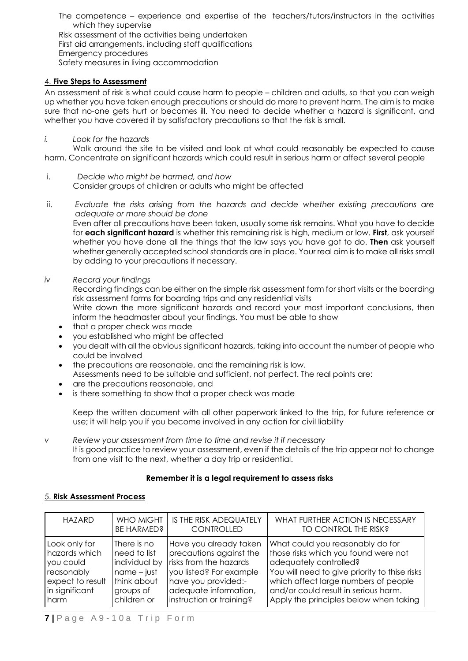The competence – experience and expertise of the teachers/tutors/instructors in the activities which they supervise

Risk assessment of the activities being undertaken First aid arrangements, including staff qualifications Emergency procedures Safety measures in living accommodation

#### 4. **Five Steps to Assessment**

An assessment of risk is what could cause harm to people – children and adults, so that you can weigh up whether you have taken enough precautions or should do more to prevent harm. The aim is to make sure that no-one gets hurt or becomes ill. You need to decide whether a hazard is significant, and whether you have covered it by satisfactory precautions so that the risk is small.

#### *i. Look for the hazards*

Walk around the site to be visited and look at what could reasonably be expected to cause harm. Concentrate on significant hazards which could result in serious harm or affect several people

- i. *Decide who might be harmed, and how* Consider groups of children or adults who might be affected
- ii. *Evaluate the risks arising from the hazards and decide whether existing precautions are adequate or more should be done*

Even after all precautions have been taken, usually some risk remains. What you have to decide for **each significant hazard** is whether this remaining risk is high, medium or low. **First**, ask yourself whether you have done all the things that the law says you have got to do. **Then** ask yourself whether generally accepted school standards are in place. Your real aim is to make all risks small by adding to your precautions if necessary.

*iv Record your findings*

Recording findings can be either on the simple risk assessment form for short visits or the boarding risk assessment forms for boarding trips and any residential visits Write down the more significant hazards and record your most important conclusions, then

- inform the headmaster about your findings. You must be able to show
- that a proper check was made
- you established who might be affected
- you dealt with all the obvious significant hazards, taking into account the number of people who could be involved
- the precautions are reasonable, and the remaining risk is low. Assessments need to be suitable and sufficient, not perfect. The real points are:
- are the precautions reasonable, and
- is there something to show that a proper check was made

Keep the written document with all other paperwork linked to the trip, for future reference or use; it will help you if you become involved in any action for civil liability

*v Review your assessment from time to time and revise it if necessary* It is good practice to review your assessment, even if the details of the trip appear not to change from one visit to the next, whether a day trip or residential.

#### **Remember it is a legal requirement to assess risks**

#### 5. **Risk Assessment Process**

| <b>HAZARD</b>    | WHO MIGHT     | IS THE RISK ADEQUATELY   | WHAT FURTHER ACTION IS NECESSARY              |
|------------------|---------------|--------------------------|-----------------------------------------------|
|                  | BE HARMED?    | <b>CONTROLLED</b>        | TO CONTROL THE RISK?                          |
| Look only for    | There is no   | Have you already taken   | What could you reasonably do for              |
| hazards which    | need to list  | precautions against the  | those risks which you found were not          |
| you could        | individual by | risks from the hazards   | adequately controlled?                        |
| reasonably       | $name - just$ | you listed? For example  | You will need to give priority to thise risks |
| expect to result | think about   | have you provided:-      | which affect large numbers of people          |
| in significant   | groups of     | adequate information,    | and/or could result in serious harm.          |
| harm             | children or   | instruction or training? | Apply the principles below when taking        |